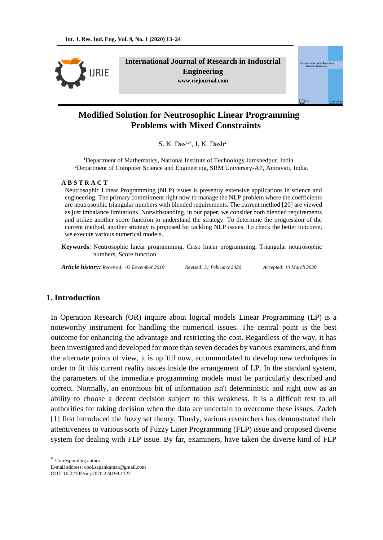

**International Journal of Research in Industrial Engineering www.riejournal.com**



# **Modified Solution for Neutrosophic Linear Programming Problems with Mixed Constraints**

S. K. Das $^{1,*}$ , J. K. Dash<sup>2</sup>

<sup>1</sup>Department of Mathematics, National Institute of Technology Jamshedpur, India. <sup>2</sup>Department of Computer Science and Engineering, SRM University-AP, Amravati, India.

#### **A B S T R A C T**

Neutrosophic Linear Programming (NLP) issues is presently extensive applications in science and engineering. The primary commitment right now to manage the NLP problem where the coefficients are neutrosophic triangular numbers with blended requirements. The current method [20] are viewed as just imbalance limitations. Notwithstanding, in our paper, we consider both blended requirements and utilize another score function to understand the strategy. To determine the progression of the current method, another strategy is proposed for tackling NLP issues. To check the better outcome, we execute various numerical models.

**Keywords**: Neutrosophic linear programming, Crisp linear programming, Triangular neutrosophic numbers, Score function.

*Article history: Received: 03 December 2019 Revised: 31 February 2020 Accepted: 10 March 2020*

# **1. Introduction**

In Operation Research (OR) inquire about logical models Linear Programming (LP) is a noteworthy instrument for handling the numerical issues. The central point is the best outcome for enhancing the advantage and restricting the cost. Regardless of the way, it has been investigated and developed for more than seven decades by various examiners, and from the alternate points of view, it is up 'till now, accommodated to develop new techniques in order to fit this current reality issues inside the arrangement of LP. In the standard system, the parameters of the immediate programming models must be particularly described and correct. Normally, an enormous bit of information isn't deterministic and right now as an ability to choose a decent decision subject to this weakness. It is a difficult test to all authorities for taking decision when the data are uncertain to overcome these issues. Zadeh [1] first introduced the fuzzy set theory. Thusly, various researchers has demonstrated their attentiveness to various sorts of Fuzzy Liner Programming (FLP) issue and proposed diverse system for dealing with FLP issue. By far, examiners, have taken the diverse kind of FLP

Corresponding author

<u>.</u>

E-mail address: cool.sapankumar@gmail.com

DOI: 10.22105/riej.2020.224198.1127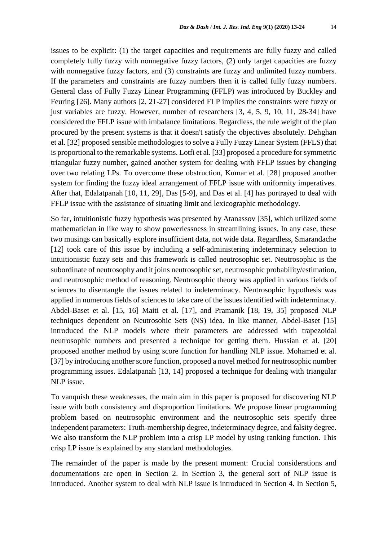issues to be explicit: (1) the target capacities and requirements are fully fuzzy and called completely fully fuzzy with nonnegative fuzzy factors, (2) only target capacities are fuzzy with nonnegative fuzzy factors, and (3) constraints are fuzzy and unlimited fuzzy numbers. If the parameters and constraints are fuzzy numbers then it is called fully fuzzy numbers. General class of Fully Fuzzy Linear Programming (FFLP) was introduced by Buckley and Feuring [26]. Many authors [2, 21-27] considered FLP implies the constraints were fuzzy or just variables are fuzzy. However, number of researchers [3, 4, 5, 9, 10, 11, 28-34] have considered the FFLP issue with imbalance limitations. Regardless, the rule weight of the plan procured by the present systems is that it doesn't satisfy the objectives absolutely. Dehghan et al. [32] proposed sensible methodologies to solve a Fully Fuzzy Linear System (FFLS) that is proportional to the remarkable systems. Lotfi et al. [33] proposed a procedure for symmetric triangular fuzzy number, gained another system for dealing with FFLP issues by changing over two relating LPs. To overcome these obstruction, Kumar et al. [28] proposed another system for finding the fuzzy ideal arrangement of FFLP issue with uniformity imperatives. After that, Edalatpanah [10, 11, 29], Das [5-9], and Das et al. [4] has portrayed to deal with FFLP issue with the assistance of situating limit and lexicographic methodology.

So far, intuitionistic fuzzy hypothesis was presented by Atanassov [35], which utilized some mathematician in like way to show powerlessness in streamlining issues. In any case, these two musings can basically explore insufficient data, not wide data. Regardless, Smarandache [12] took care of this issue by including a self-administering indeterminacy selection to intuitionistic fuzzy sets and this framework is called neutrosophic set. Neutrosophic is the subordinate of neutrosophy and it joins neutrosophic set, neutrosophic probability/estimation, and neutrosophic method of reasoning. Neutrosophic theory was applied in various fields of sciences to disentangle the issues related to indeterminacy. Neutrosophic hypothesis was applied in numerous fields of sciences to take care of the issues identified with indeterminacy. Abdel-Baset et al. [15, 16] Maiti et al. [17], and Pramanik [18, 19, 35] proposed NLP techniques dependent on Neutrosohic Sets (NS) idea. In like manner, Abdel-Baset [15] introduced the NLP models where their parameters are addressed with trapezoidal neutrosophic numbers and presented a technique for getting them. Hussian et al. [20] proposed another method by using score function for handling NLP issue. Mohamed et al. [37] by introducing another score function, proposed a novel method for neutrosophic number programming issues. Edalatpanah [13, 14] proposed a technique for dealing with triangular NLP issue.

To vanquish these weaknesses, the main aim in this paper is proposed for discovering NLP issue with both consistency and disproportion limitations. We propose linear programming problem based on neutrosophic environment and the neutrosophic sets specify three independent parameters: Truth-membership degree, indeterminacy degree, and falsity degree. We also transform the NLP problem into a crisp LP model by using ranking function. This crisp LP issue is explained by any standard methodologies.

The remainder of the paper is made by the present moment: Crucial considerations and documentations are open in Section 2. In Section 3, the general sort of NLP issue is introduced. Another system to deal with NLP issue is introduced in Section 4. In Section 5,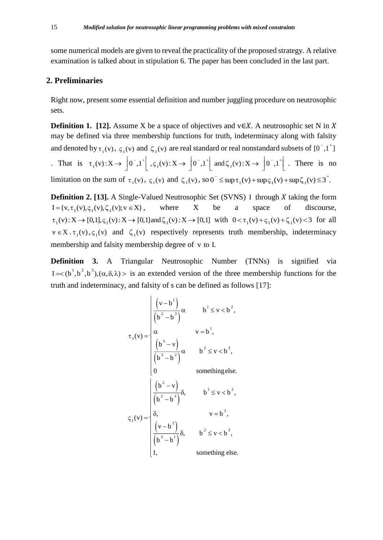some numerical models are given to reveal the practicality of the proposed strategy. A relative examination is talked about in stipulation 6. The paper has been concluded in the last part.

# **2. Preliminaries**

Right now, present some essential definition and number juggling procedure on neutrosophic sets.

**Definition 1. [12].** Assume X be a space of objectives and  $v \in X$ . A neutrosophic set N in X may be defined via three membership functions for truth, indeterminacy along with falsity and denoted by  $\tau_1(v)$ ,  $\zeta_1(v)$  and  $\zeta_1(v)$  are real standard or real nonstandard subsets of  $[0^-,1^+]$ That is  $\tau_1(v): X \to \left] 0^-, 1^+ \right[ , \varsigma_1(v): X \to \left] 0^-, 1^+ \right[$  and  $\zeta_1(v): X \to \left] 0^-, 1^+ \right[$ . There is no limitation on the sum of  $\tau_1(v)$ ,  $\zeta_1(v)$  and  $\zeta_1(v)$ , so  $0^- \le \sup \tau_1(v) + \sup \zeta_1(v) + \sup \zeta_1(v) \le 3^+$ .

**Definition 2. [13].** A Single-Valued Neutrosophic Set (SVNS) I through X taking the form  $I = \{v, \tau_{I}(v), \zeta_{I}(v), \zeta_{I}(v); v \in X\},\$ where X be a space of discourse,  $\tau_1(v): X \to [0,1], \varsigma_1(v): X \to [0,1]$  and  $\zeta_1(v): X \to [0,1]$  with  $0 < \tau_1(v) + \varsigma_1(v) + \zeta_1(v) < 3$  for all  $v \in X$ .  $\tau_1(v)$ ,  $\varsigma_1(v)$  and  $\zeta_1(v)$  respectively represents truth membership, indeterminacy membership and falsity membership degree of v to I.

**Definition 3.** A Triangular Neutrosophic Number (TNNs) is signified via  $I = \langle (b^1, b^2, b^3), (\alpha, \delta, \lambda) \rangle$  is an extended version of the three membership functions for the truth and indeterminacy, and falsity of s can be defined as follows [17]:

$$
\tau_{I}(v) = \begin{cases}\n\frac{\left(v - b^{1}\right)}{\left(b^{2} - b^{3}\right)}\alpha & b^{1} \le v < b^{2}, \\
\frac{\alpha}{\left(b^{3} - v\right)} & v = b^{1}, \\
\frac{\left(b^{3} - v\right)}{\left(b^{3} - b^{2}\right)}\alpha & b^{2} \le v < b^{3}, \\
0 & \text{something else.} \\
\frac{\left(\frac{\left(b^{2} - v\right)}{\left(b^{2} - b^{3}\right)}\delta, \qquad b^{1} \le v < b^{2}, \\
\frac{\left(v - b^{3}\right)}{\left(b^{3} - b^{1}\right)}\delta, \qquad v = b^{2}, \\
\frac{\left(v - b^{3}\right)}{\left(b^{3} - b^{1}\right)}\delta, \qquad b^{2} \le v < b^{3}, \\
1, & \text{something else.}\n\end{cases}
$$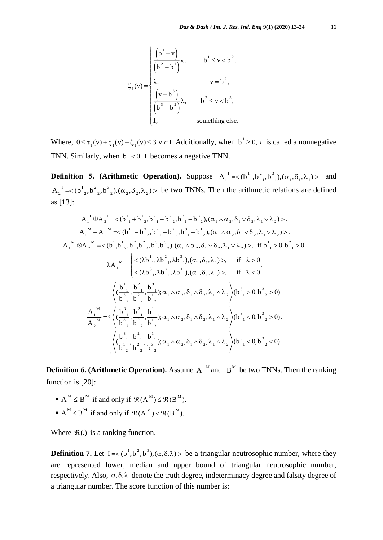$$
\zeta_{I}(v) = \begin{cases}\n\left(b^{1} - v\right) & b^{1} \le v < b^{2}, \\
\left(b^{2} - b^{1}\right) & v = b^{2}, \\
\lambda, & v = b^{2}, \\
\left(\frac{v - b^{3}}{b^{3} - b^{2}}\right) & \lambda, \quad b^{2} \le v < b^{3}, \\
1, & \text{something else.} \n\end{cases}
$$

Where,  $0 \le \tau_1(v) + \zeta_1(v) + \zeta_1(v) \le 3, v \in I$ . Additionally, when  $b^1 \ge 0$ , *I* is called a nonnegative TNN. Similarly, when  $b<sup>1</sup> < 0$ , I becomes a negative TNN.

**Definition 5. (Arithmetic Operation).** Suppose  $A_1^1 = \langle (b_1^1, b_1^2, b_1^3), (\alpha_1, \delta_1, \lambda_1) \rangle$  and  $A_2^1 = \left( b_{2,1}^1, b_{2,2}^2, b_{2,1}^3, (\alpha_2, \delta_2, \lambda_2) \right)$  be two TNNs. Then the arithmetic relations are defined as [13]:

$$
A_{1}^{T} \oplus A_{2}^{T} = \langle b_{1}^{T} + b_{2}^{T}, b_{1}^{2} + b_{2}^{2}, b_{1}^{3} + b_{2}^{3}, (\alpha_{1} \wedge \alpha_{2}, \delta_{1} \vee \delta_{2}, \lambda_{1} \vee \lambda_{2}) \rangle.
$$
\n
$$
A_{1}^{M} - A_{2}^{M} = \langle b_{1}^{T} - b_{2}^{T}, b_{1}^{2} - b_{2}^{2}, b_{1}^{3} - b_{2}^{T}, (\alpha_{1} \wedge \alpha_{2}, \delta_{1} \vee \delta_{2}, \lambda_{1} \vee \lambda_{2}) \rangle.
$$
\n
$$
A_{1}^{M} \otimes A_{2}^{M} = \langle b_{1}^{T} b_{2}^{T}, b_{1}^{2} b_{2}^{T}, b_{2}^{3} b_{2}^{T}, (\alpha_{1} \wedge \alpha_{2}, \delta_{1} \vee \delta_{2}, \lambda_{1} \vee \lambda_{2}) \rangle, \text{ if } b_{1}^{T} > 0, b_{1}^{2} > 0.
$$
\n
$$
\lambda A_{1}^{M} = \begin{cases} \langle (\lambda b_{1}^{T}, \lambda b_{1}^{2}, \lambda b_{1}^{3}), (\alpha_{1}, \delta_{1}, \lambda_{1}) \rangle, & \text{if } \lambda > 0 \\ \langle (\lambda b_{1}^{3}, \lambda b_{1}^{2}, \lambda b_{1}^{1}), (\alpha_{1}, \delta_{1}, \lambda_{1}) \rangle, & \text{if } \lambda < 0 \end{cases}
$$
\n
$$
\frac{\left| \langle \left( \frac{b_{1}}{b_{2}^{3}}, \frac{b_{1}^{2}}{b_{2}^{2}}, \frac{b_{1}^{3}}{b_{1}^{2}} \right); \alpha_{1} \wedge \alpha_{2}, \delta_{1} \wedge \delta_{2}, \lambda_{1} \wedge \lambda_{2} \rangle \right| (b_{1}^{3} > 0, b_{2}^{3} > 0)}{\langle b_{1}^{3} > 0, b_{2}^{3} > 0}. \tag{b}
$$
\n
$$
\frac{A_{1}^{M}}{A_{2}^{M}} = \begin{cases} \langle \left( \frac{b_{1}}{b_{2}^{3}}, \frac{b_{1}^{2}}{b_{2}^{2}}, \frac{b_{1}^{1}}{b_{1}
$$

**Definition 6. (Arithmetic Operation).** Assume  $A^M$  and  $B^M$  be two TNNs. Then the ranking function is [20]:

- $\blacksquare$  A<sup>M</sup>  $\leq$  B<sup>M</sup> if and only if  $\mathfrak{R}(A^M) \leq \mathfrak{R}(B^M)$ .
- $A^M < B^M$  if and only if  $\mathfrak{R}(A^M) < \mathfrak{R}(B^M)$ .

Where  $\mathfrak{R}(.)$  is a ranking function.

**Definition 7.** Let  $I = \langle b^1, b^2, b^3 \rangle$ ,  $(\alpha, \delta, \lambda) >$  be a triangular neutrosophic number, where they are represented lower, median and upper bound of triangular neutrosophic number, respectively. Also,  $\alpha$ , $\delta$ , $\lambda$  denote the truth degree, indeterminacy degree and falsity degree of a triangular number. The score function of this number is: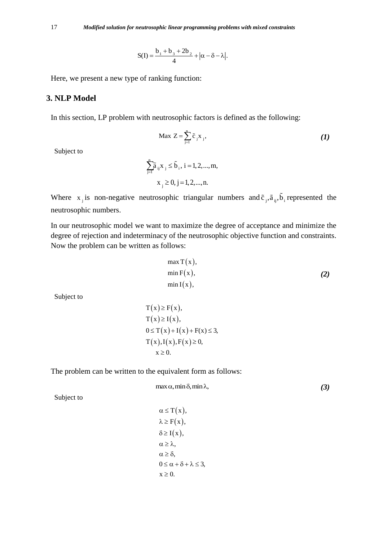$$
S(I) = \frac{b_1 + b_3 + 2b_2}{4} + |\alpha - \delta - \lambda|.
$$

Here, we present a new type of ranking function:

# **3. NLP Model**

In this section, LP problem with neutrosophic factors is defined as the following:

$$
\text{Max } Z = \sum_{j=1}^{n} \tilde{c}_{j} x_{j}, \qquad (1)
$$

Subject to

$$
\sum_{j=1}^{n} \tilde{a}_{ij} x_{j} \le \tilde{b}_{i}, i = 1, 2, ..., m,
$$
  

$$
x_{j} \ge 0, j = 1, 2, ..., n.
$$

Where  $x_j$  is non-negative neutrosophic triangular numbers and  $\tilde{c}_j$ ,  $\tilde{a}_{ij}$ ,  $\tilde{b}_i$  represented the neutrosophic numbers.

In our neutrosophic model we want to maximize the degree of acceptance and minimize the degree of rejection and indeterminacy of the neutrosophic objective function and constraints. Now the problem can be written as follows:

$$
\max T(x),
$$
  
\n
$$
\min F(x),
$$
  
\n
$$
\min I(x),
$$
\n(2)

Subject to

$$
T(x) \ge F(x),
$$
  
\n
$$
T(x) \ge I(x),
$$
  
\n
$$
0 \le T(x) + I(x) + F(x) \le 3,
$$
  
\n
$$
T(x), I(x), F(x) \ge 0,
$$
  
\n
$$
x \ge 0.
$$

The problem can be written to the equivalent form as follows:

 $max \alpha$ , min  $\delta$ , min  $\lambda$ , *(3)*  $\sqrt{2}$  $T(x),$  $\alpha$ 

Subject to

$$
\alpha \leq T(x),
$$
  
\n
$$
\lambda \geq F(x),
$$
  
\n
$$
\delta \geq I(x),
$$
  
\n
$$
\alpha \geq \lambda,
$$
  
\n
$$
\alpha \geq \delta,
$$
  
\n
$$
0 \leq \alpha + \delta + \lambda \leq 3,
$$
  
\n
$$
x \geq 0.
$$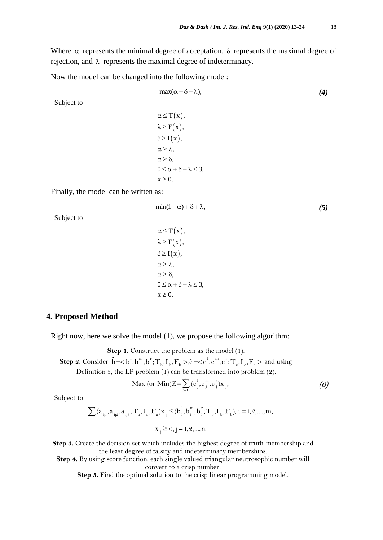Where  $\alpha$  represents the minimal degree of acceptation,  $\delta$  represents the maximal degree of rejection, and  $\lambda$  represents the maximal degree of indeterminacy.

Now the model can be changed into the following model:

$$
\max(\alpha - \delta - \lambda),\tag{4}
$$

Subject to

 $\alpha \leq T(x),$  $\lambda \geq F(x),$  $\delta \geq I(x),$  $\alpha \geq \lambda,$  $\alpha \geq \delta$ ,  $0 \leq \alpha + \delta + \lambda \leq 3$ ,  $x \geq 0$ .

Finally, the model can be written as:

$$
\min(1-\alpha) + \delta + \lambda,\tag{5}
$$

Subject to

$$
\alpha \leq T(x),
$$
  
\n
$$
\lambda \geq F(x),
$$
  
\n
$$
\delta \geq I(x),
$$
  
\n
$$
\alpha \geq \lambda,
$$
  
\n
$$
\alpha \geq \delta,
$$
  
\n
$$
0 \leq \alpha + \delta + \lambda \leq 3,
$$
  
\n
$$
x \geq 0.
$$

#### **4. Proposed Method**

Right now, here we solve the model (1), we propose the following algorithm:

**Step 1.** Construct the problem as the model (1).

**Step 1.** Construct the problem as the model (1).<br> **Step 2.** Consider  $\tilde{b} = < b^1, b^m, b^r; T_b, I_b, F_b >, \tilde{c} = < c^1, c^m, c^r; T_c, I_c, F_c >$  and us tep 1. Construct the problem as the model (1).<br>  $\tilde{b} = \langle b^l, b^m, b^r; T_b, I_b, F_b \rangle, \tilde{c} = \langle c^l, c^m, c^r; T_c, I_c, F_c \rangle$  and using Definition 5, the LP problem (1) can be transformed into problem (2).

$$
\text{Max (or Min)} Z = \sum_{j=1}^{n} (c_j^i, c_j^m, c_j^r) x_j, \tag{6}
$$

Subject to

$$
\sum (a_{ij1}, a_{ij2}, a_{ij3}; T_a, I_a, F_a) x_j \le (b_i^1, b_i^m, b_i^r; T_b, I_b, F_b), i = 1, 2, \dots, m,
$$
  

$$
x_j \ge 0, j = 1, 2, \dots, n.
$$

**Step 3.** Create the decision set which includes the highest degree of truth-membership and the least degree of falsity and indeterminacy memberships.

**Step 4.** By using score function, each single valued triangular neutrosophic number will convert to a crisp number.

**Step 5.** Find the optimal solution to the crisp linear programming model.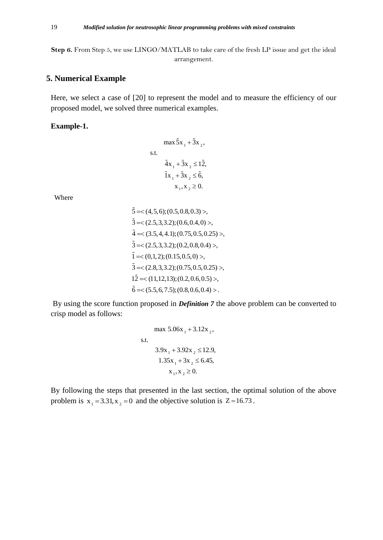**Step 6.** From Step 5, we use LINGO/MATLAB to take care of the fresh LP issue and get the ideal arrangement.

# **5. Numerical Example**

Here, we select a case of [20] to represent the model and to measure the efficiency of our proposed model, we solved three numerical examples.

#### **Example-1.**

$$
\max \tilde{5}x_1 + \tilde{3}x_2,
$$
  
s.t.  

$$
4x_1 + 3x_2 \le 12,
$$
  

$$
1x_1 + 3x_2 \le 6,
$$
  

$$
x_1, x_2 \ge 0.
$$

Where

$$
\begin{aligned}\n\tilde{5} &=<(4,5,6);(0.5,0.8,0.3)>, \\
\tilde{3} &=<(2.5,3,3.2);(0.6,0.4,0)>, \\
\tilde{4} &=<(3.5,4,4.1);(0.75,0.5,0.25)>, \\
\tilde{3} &=<(2.5,3,3.2);(0.2,0.8,0.4)>, \\
\tilde{1} &=<(0,1,2);(0.15,0.5,0)>, \\
\tilde{3} &=<(2.8,3,3.2);(0.75,0.5,0.25)>, \\
1\tilde{2} &=<(11,12,13);(0.2,0.6,0.5)>, \\
\tilde{6} &=<(5.5,6,7.5);(0.8,0.6,0.4).\n\end{aligned}
$$

By using the score function proposed in *Definition 7* the above problem can be converted to crisp model as follows:

max 5.06x<sub>1</sub> + 3.12x<sub>2</sub>,  
s.t.  

$$
3.9x_1 + 3.92x_2 \le 12.9,
$$

$$
1.35x_1 + 3x_2 \le 6.45,
$$

$$
x_1, x_2 \ge 0.
$$

By following the steps that presented in the last section, the optimal solution of the above problem is  $x_1 = 3.31$ ,  $x_2 = 0$  and the objective solution is  $Z = 16.73$ .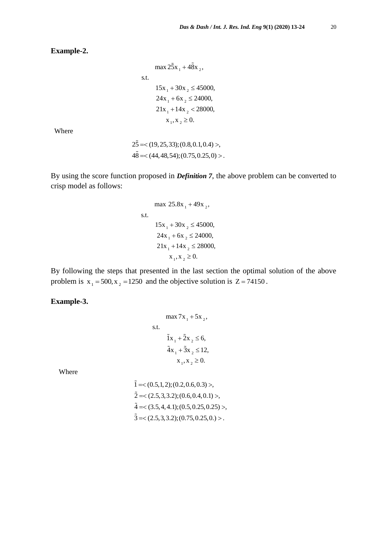**Example-2.**

```
\max 25x_1 + 48x_215x_1 + 30x_2 \le 4500024x_1 + 6x_2 \le 24000,21x_1 + 14x_2 < 28000,x_1, x_2 \geq 0.s.t.
```
Where

$$
25 = <(19, 25, 33); (0.8, 0.1, 0.4)>,
$$
  

$$
4\tilde{8} = <(44, 48, 54); (0.75, 0.25, 0)>.
$$

By using the score function proposed in *Definition 7*, the above problem can be converted to crisp model as follows:

max 25.8x<sub>1</sub> + 49x<sub>2</sub>,  
s.t.  
\n
$$
15x_1 + 30x_2 \le 45000,
$$
\n
$$
24x_1 + 6x_2 \le 24000,
$$
\n
$$
21x_1 + 14x_2 \le 28000,
$$
\n
$$
x_1, x_2 \ge 0.
$$

By following the steps that presented in the last section the optimal solution of the above problem is  $x_1 = 500$ ,  $x_2 = 1250$  and the objective solution is  $Z = 74150$ .

### **Example-3.**

max 
$$
7x_1 + 5x_2
$$
,  
s.t.  
 $\tilde{1}x_1 + \tilde{2}x_2 \le 6$ ,  
 $\tilde{4}x_1 + \tilde{3}x_2 \le 12$ ,  
 $x_1, x_2 \ge 0$ .

Where

$$
\tilde{1} = \langle (0.5, 1, 2); (0.2, 0.6, 0.3) \rangle,
$$
  
\n
$$
\tilde{2} = \langle (2.5, 3, 3.2); (0.6, 0.4, 0.1) \rangle,
$$
  
\n
$$
\tilde{4} = \langle (3.5, 4, 4.1); (0.5, 0.25, 0.25) \rangle,
$$
  
\n
$$
\tilde{3} = \langle (2.5, 3, 3.2); (0.75, 0.25, 0.1) \rangle.
$$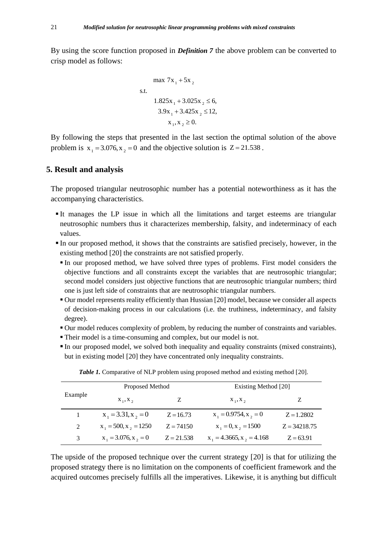By using the score function proposed in *Definition 7* the above problem can be converted to crisp model as follows:

max 
$$
7x_1 + 5x_2
$$
  
s.t.  
\n
$$
1.825x_1 + 3.025x_2 \le 6,
$$
\n
$$
3.9x_1 + 3.425x_2 \le 12,
$$
\n
$$
x_1, x_2 \ge 0.
$$

By following the steps that presented in the last section the optimal solution of the above problem is  $x_1 = 3.076$ ,  $x_2 = 0$  and the objective solution is  $Z = 21.538$ .

### **5. Result and analysis**

The proposed triangular neutrosophic number has a potential noteworthiness as it has the accompanying characteristics.

- It manages the LP issue in which all the limitations and target esteems are triangular neutrosophic numbers thus it characterizes membership, falsity, and indeterminacy of each values.
- In our proposed method, it shows that the constraints are satisfied precisely, however, in the existing method [20] the constraints are not satisfied properly.
	- In our proposed method, we have solved three types of problems. First model considers the objective functions and all constraints except the variables that are neutrosophic triangular; second model considers just objective functions that are neutrosophic triangular numbers; third one is just left side of constraints that are neutrosophic triangular numbers.
	- Our model represents reality efficiently than Hussian [20] model, because we consider all aspects of decision-making process in our calculations (i.e. the truthiness, indeterminacy, and falsity degree).
	- Our model reduces complexity of problem, by reducing the number of constraints and variables.
	- Their model is a time-consuming and complex, but our model is not.
	- In our proposed model, we solved both inequality and equality constraints (mixed constraints), but in existing model [20] they have concentrated only inequality constraints.

| Example       | Proposed Method            |              | Existing Method [20]           |                |
|---------------|----------------------------|--------------|--------------------------------|----------------|
|               | $X_1, X_2$                 | Z            | $X_1, X_2$                     | Z              |
|               | $x_1 = 3.31, x_2 = 0$      | $Z = 16.73$  | $x_1 = 0.9754$ , $x_2 = 0$     | $Z = 1.2802$   |
| $\mathcal{L}$ | $x_1 = 500$ , $x_2 = 1250$ | $Z = 74150$  | $x_1 = 0, x_2 = 1500$          | $Z = 34218.75$ |
| $\mathcal{R}$ | $x_1 = 3.076$ , $x_2 = 0$  | $Z = 21.538$ | $x_1 = 4.3665$ , $x_2 = 4.168$ | $Z = 63.91$    |

**Table 1.** Comparative of NLP problem using proposed method and existing method [20].

The upside of the proposed technique over the current strategy [20] is that for utilizing the proposed strategy there is no limitation on the components of coefficient framework and the acquired outcomes precisely fulfills all the imperatives. Likewise, it is anything but difficult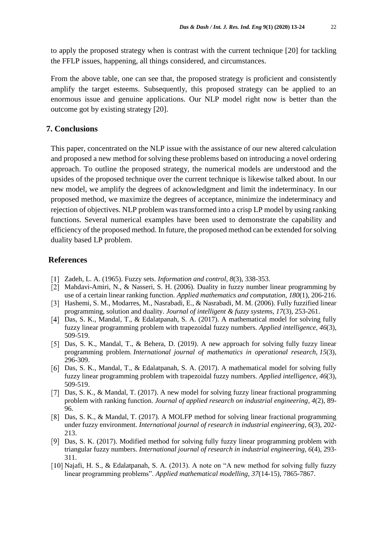to apply the proposed strategy when is contrast with the current technique [20] for tackling the FFLP issues, happening, all things considered, and circumstances.

From the above table, one can see that, the proposed strategy is proficient and consistently amplify the target esteems. Subsequently, this proposed strategy can be applied to an enormous issue and genuine applications. Our NLP model right now is better than the outcome got by existing strategy [20].

### **7. Conclusions**

This paper, concentrated on the NLP issue with the assistance of our new altered calculation and proposed a new method for solving these problems based on introducing a novel ordering approach. To outline the proposed strategy, the numerical models are understood and the upsides of the proposed technique over the current technique is likewise talked about. In our new model, we amplify the degrees of acknowledgment and limit the indeterminacy. In our proposed method, we maximize the degrees of acceptance, minimize the indeterminacy and rejection of objectives. NLP problem was transformed into a crisp LP model by using ranking functions. Several numerical examples have been used to demonstrate the capability and efficiency of the proposed method. In future, the proposed method can be extended for solving duality based LP problem.

# **References**

- Zadeh, L. A. (1965). Fuzzy sets. *Information and control*, *8*(3), 338-353.
- Mahdavi-Amiri, N., & Nasseri, S. H. (2006). Duality in fuzzy number linear programming by use of a certain linear ranking function. *Applied mathematics and computation*, *180*(1), 206-216.
- Hashemi, S. M., Modarres, M., Nasrabadi, E., & Nasrabadi, M. M. (2006). Fully fuzzified linear programming, solution and duality. *Journal of intelligent & fuzzy systems*, *17*(3), 253-261.
- Das, S. K., Mandal, T., & Edalatpanah, S. A. (2017). A mathematical model for solving fully fuzzy linear programming problem with trapezoidal fuzzy numbers. *Applied intelligence*, *46*(3), 509-519.
- [5] Das, S. K., Mandal, T., & Behera, D. (2019). A new approach for solving fully fuzzy linear programming problem. *International journal of mathematics in operational research*, *15*(3), 296-309.
- [6] Das, S. K., Mandal, T., & Edalatpanah, S. A. (2017). A mathematical model for solving fully fuzzy linear programming problem with trapezoidal fuzzy numbers. *Applied intelligence*, *46*(3), 509-519.
- [7] Das, S. K., & Mandal, T. (2017). A new model for solving fuzzy linear fractional programming problem with ranking function. *Journal of applied research on industrial engineering*, *4*(2), 89- 96.
- Das, S. K., & Mandal, T. (2017). A MOLFP method for solving linear fractional programming under fuzzy environment. *International journal of research in industrial engineering*, *6*(3), 202- 213.
- [9] Das, S. K. (2017). Modified method for solving fully fuzzy linear programming problem with triangular fuzzy numbers. *International journal of research in industrial engineering*, *6*(4), 293- 311.
- [10] Najafi, H. S., & Edalatpanah, S. A. (2013). A note on "A new method for solving fully fuzzy linear programming problems". *Applied mathematical modelling*, *37*(14-15), 7865-7867.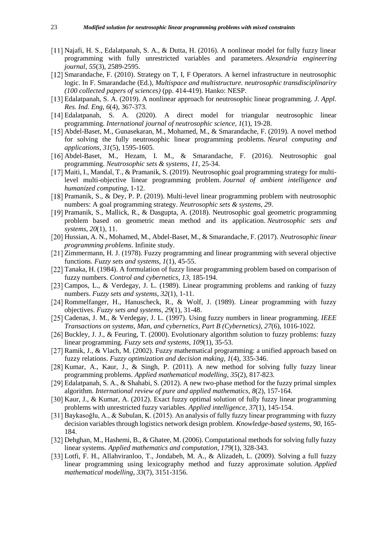- Najafi, H. S., Edalatpanah, S. A., & Dutta, H. (2016). A nonlinear model for fully fuzzy linear programming with fully unrestricted variables and parameters. *Alexandria engineering journal*, *55*(3), 2589-2595.
- [12] Smarandache, F. (2010). Strategy on T, I, F Operators. A kernel infrastructure in neutrosophic logic. In F. Smarandache (Ed.), *Multispace and multistructure. neutrosophic transdisciplinariry (100 collected papers of sciences)* (pp. 414-419). Hanko: NESP.
- Edalatpanah, S. A. (2019). A nonlinear approach for neutrosophic linear programming. *J. Appl. Res. Ind. Eng*, *6*(4), 367-373.
- [14] Edalatpanah, S. A. (2020). A direct model for triangular neutrosophic linear programming. *International journal of neutrosophic science*, *1*(1), 19-28.
- Abdel-Baset, M., Gunasekaran, M., Mohamed, M., & Smarandache, F. (2019). A novel method for solving the fully neutrosophic linear programming problems. *Neural computing and applications*, *31*(5), 1595-1605.
- Abdel-Baset, M., Hezam, I. M., & Smarandache, F. (2016). Neutrosophic goal programming. *Neutrosophic sets & systems*, *11*, 25-34.
- [17] Maiti, I., Mandal, T., & Pramanik, S. (2019). Neutrosophic goal programming strategy for multilevel multi-objective linear programming problem. *Journal of ambient intelligence and humanized computing*, 1-12.
- [18] Pramanik, S., & Dey, P. P. (2019). Multi-level linear programming problem with neutrosophic numbers: A goal programming strategy. *Neutrosophic sets & systems*, *29*.
- Pramanik, S., Mallick, R., & Dasgupta, A. (2018). Neutrosophic goal geometric programming problem based on geometric mean method and its application. *Neutrosophic sets and systems*, *20*(1), 11.
- Hussian, A. N., Mohamed, M., Abdel-Baset, M., & Smarandache, F. (2017). *Neutrosophic linear programming problems*. Infinite study.
- [21] Zimmermann, H. J. (1978). Fuzzy programming and linear programming with several objective functions. *Fuzzy sets and systems*, *1*(1), 45-55.
- [22] Tanaka, H. (1984). A formulation of fuzzy linear programming problem based on comparison of fuzzy numbers. *Control and cybernetics*, *13*, 185-194.
- [23] Campos, L., & Verdegay, J. L. (1989). Linear programming problems and ranking of fuzzy numbers. *Fuzzy sets and systems*, *32*(1), 1-11.
- [24] Rommelfanger, H., Hanuscheck, R., & Wolf, J. (1989). Linear programming with fuzzy objectives. *Fuzzy sets and systems*, *29*(1), 31-48.
- Cadenas, J. M., & Verdegay, J. L. (1997). Using fuzzy numbers in linear programming. *IEEE Transactions on systems, Man, and cybernetics, Part B (Cybernetics)*, *27*(6), 1016-1022.
- [26] Buckley, J. J., & Feuring, T. (2000). Evolutionary algorithm solution to fuzzy problems: fuzzy linear programming. *Fuzzy sets and systems*, *109*(1), 35-53.
- [27] Ramik, J., & Vlach, M. (2002). Fuzzy mathematical programming: a unified approach based on fuzzy relations. *Fuzzy optimization and decision making*, *1*(4), 335-346.
- [28] Kumar, A., Kaur, J., & Singh, P. (2011). A new method for solving fully fuzzy linear programming problems. *Applied mathematical modelling*, *35*(2), 817-823.
- [29] Edalatpanah, S. A., & Shahabi, S. (2012). A new two-phase method for the fuzzy primal simplex algorithm. *International review of pure and applied mathematics*, *8*(2), 157-164.
- [30] Kaur, J., & Kumar, A. (2012). Exact fuzzy optimal solution of fully fuzzy linear programming problems with unrestricted fuzzy variables. *Applied intelligence*, *37*(1), 145-154.
- Baykasoğlu, A., & Subulan, K. (2015). An analysis of fully fuzzy linear programming with fuzzy decision variables through logistics network design problem. *Knowledge-based systems*, *90*, 165- 184.
- [32] Dehghan, M., Hashemi, B., & Ghatee, M. (2006). Computational methods for solving fully fuzzy linear systems. *Applied mathematics and computation*, *179*(1), 328-343.
- Lotfi, F. H., Allahviranloo, T., Jondabeh, M. A., & Alizadeh, L. (2009). Solving a full fuzzy linear programming using lexicography method and fuzzy approximate solution. *Applied mathematical modelling*, *33*(7), 3151-3156.